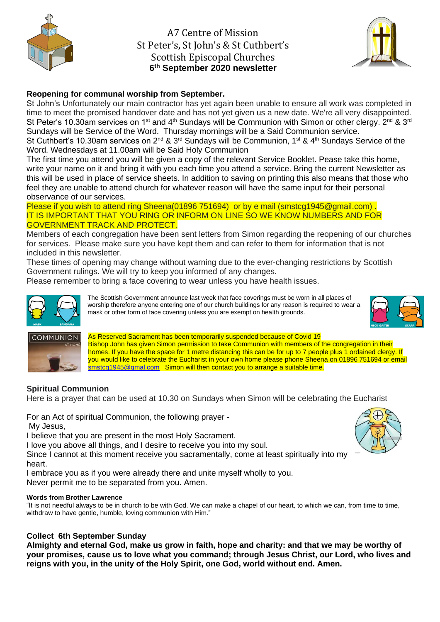

# A7 Centre of Mission St Peter's, St John's & St Cuthbert's Scottish Episcopal Churches **6 th September 2020 newsletter**



# **Reopening for communal worship from September.**

St John's Unfortunately our main contractor has yet again been unable to ensure all work was completed in time to meet the promised handover date and has not yet given us a new date. We're all very disappointed. St Peter's 10.30am services on 1<sup>st</sup> and 4<sup>th</sup> Sundays will be Communion with Simon or other clergy. 2<sup>nd</sup> & 3<sup>rd</sup> Sundays will be Service of the Word. Thursday mornings will be a Said Communion service.

St Cuthbert's 10.30am services on 2<sup>nd</sup> & 3<sup>rd</sup> Sundays will be Communion, 1<sup>st</sup> & 4<sup>th</sup> Sundays Service of the Word. Wednesdays at 11.00am will be Said Holy Communion

The first time you attend you will be given a copy of the relevant Service Booklet. Pease take this home, write your name on it and bring it with you each time you attend a service. Bring the current Newsletter as this will be used in place of service sheets. In addition to saving on printing this also means that those who feel they are unable to attend church for whatever reason will have the same input for their personal observance of our services.

#### Please if you wish to attend ring Sheena(01896 751694) or by e mail (smstcg1945@gmail.com). IT IS IMPORTANT THAT YOU RING OR INFORM ON LINE SO WE KNOW NUMBERS AND FOR GOVERNMENT TRACK AND PROTECT.

Members of each congregation have been sent letters from Simon regarding the reopening of our churches for services. Please make sure you have kept them and can refer to them for information that is not included in this newsletter.

These times of opening may change without warning due to the ever-changing restrictions by Scottish Government rulings. We will try to keep you informed of any changes.

Please remember to bring a face covering to wear unless you have health issues.



The Scottish Government announce last week that face coverings must be worn in all places of worship therefore anyone entering one of our church buildings for any reason is required to wear a mask or other form of face covering unless you are exempt on health grounds.





As Reserved Sacrament has been temporarily suspended because of Covid 19 Bishop John has given Simon permission to take Communion with members of the congregation in their homes. If you have the space for 1 metre distancing this can be for up to 7 people plus 1 ordained clergy. If you would like to celebrate the Eucharist in your own home please phone Sheena on 01896 751694 or email [smstcg1945@gmal.com](mailto:smstcg1945@gmal.com) Simon will then contact you to arrange a suitable time.

#### **Spiritual Communion**

Here is a prayer that can be used at 10.30 on Sundays when Simon will be celebrating the Eucharist

For an Act of spiritual Communion, the following prayer - My Jesus,

I believe that you are present in the most Holy Sacrament.

I love you above all things, and I desire to receive you into my soul.

Since I cannot at this moment receive you sacramentally, come at least spiritually into my heart.

I embrace you as if you were already there and unite myself wholly to you. Never permit me to be separated from you. Amen.

#### **Words from Brother Lawrence**

"It is not needful always to be in church to be with God. We can make a chapel of our heart, to which we can, from time to time, withdraw to have gentle, humble, loving communion with Him."

#### **Collect 6th September Sunday**

**Almighty and eternal God, make us grow in faith, hope and charity: and that we may be worthy of your promises, cause us to love what you command; through Jesus Christ, our Lord, who lives and reigns with you, in the unity of the Holy Spirit, one God, world without end. Amen.**

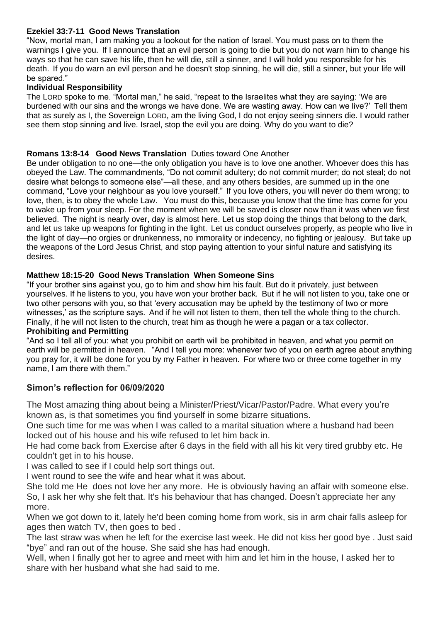## **Ezekiel 33:7-11 Good News Translation**

"Now, mortal man, I am making you a lookout for the nation of Israel. You must pass on to them the warnings I give you. If I announce that an evil person is going to die but you do not warn him to change his ways so that he can save his life, then he will die, still a sinner, and I will hold you responsible for his death. If you do warn an evil person and he doesn't stop sinning, he will die, still a sinner, but your life will be spared."

#### **Individual Responsibility**

The LORD spoke to me. "Mortal man," he said, "repeat to the Israelites what they are saying: 'We are burdened with our sins and the wrongs we have done. We are wasting away. How can we live?' Tell them that as surely as I, the Sovereign LORD, am the living God, I do not enjoy seeing sinners die. I would rather see them stop sinning and live. Israel, stop the evil you are doing. Why do you want to die?

### **Romans 13:8-14 Good News Translation** Duties toward One Another

Be under obligation to no one—the only obligation you have is to love one another. Whoever does this has obeyed the Law. The commandments, "Do not commit adultery; do not commit murder; do not steal; do not desire what belongs to someone else"—all these, and any others besides, are summed up in the one command, "Love your neighbour as you love yourself." If you love others, you will never do them wrong; to love, then, is to obey the whole Law. You must do this, because you know that the time has come for you to wake up from your sleep. For the moment when we will be saved is closer now than it was when we first believed. The night is nearly over, day is almost here. Let us stop doing the things that belong to the dark, and let us take up weapons for fighting in the light. Let us conduct ourselves properly, as people who live in the light of day—no orgies or drunkenness, no immorality or indecency, no fighting or jealousy. But take up the weapons of the Lord Jesus Christ, and stop paying attention to your sinful nature and satisfying its desires.

### **Matthew 18:15-20 Good News Translation When Someone Sins**

"If your brother sins against you, go to him and show him his fault. But do it privately, just between yourselves. If he listens to you, you have won your brother back. But if he will not listen to you, take one or two other persons with you, so that 'every accusation may be upheld by the testimony of two or more witnesses,' as the scripture says. And if he will not listen to them, then tell the whole thing to the church. Finally, if he will not listen to the church, treat him as though he were a pagan or a tax collector.

#### **Prohibiting and Permitting**

"And so I tell all of you: what you prohibit on earth will be prohibited in heaven, and what you permit on earth will be permitted in heaven. "And I tell you more: whenever two of you on earth agree about anything you pray for, it will be done for you by my Father in heaven. For where two or three come together in my name, I am there with them."

# **Simon's reflection for 06/09/2020**

The Most amazing thing about being a Minister/Priest/Vicar/Pastor/Padre. What every you're known as, is that sometimes you find yourself in some bizarre situations.

One such time for me was when I was called to a marital situation where a husband had been locked out of his house and his wife refused to let him back in.

He had come back from Exercise after 6 days in the field with all his kit very tired grubby etc. He couldn't get in to his house.

I was called to see if I could help sort things out.

I went round to see the wife and hear what it was about.

She told me He does not love her any more. He is obviously having an affair with someone else. So, I ask her why she felt that. It's his behaviour that has changed. Doesn't appreciate her any more.

When we got down to it, lately he'd been coming home from work, sis in arm chair falls asleep for ages then watch TV, then goes to bed .

The last straw was when he left for the exercise last week. He did not kiss her good bye . Just said "bye" and ran out of the house. She said she has had enough.

Well, when I finally got her to agree and meet with him and let him in the house, I asked her to share with her husband what she had said to me.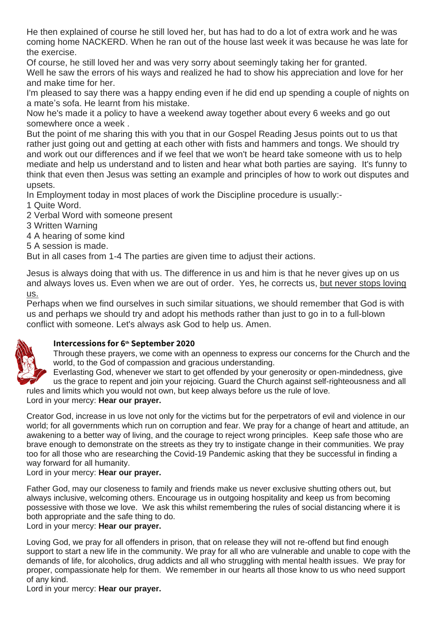He then explained of course he still loved her, but has had to do a lot of extra work and he was coming home NACKERD. When he ran out of the house last week it was because he was late for the exercise.

Of course, he still loved her and was very sorry about seemingly taking her for granted. Well he saw the errors of his ways and realized he had to show his appreciation and love for her and make time for her.

I'm pleased to say there was a happy ending even if he did end up spending a couple of nights on a mate's sofa. He learnt from his mistake.

Now he's made it a policy to have a weekend away together about every 6 weeks and go out somewhere once a week .

But the point of me sharing this with you that in our Gospel Reading Jesus points out to us that rather just going out and getting at each other with fists and hammers and tongs. We should try and work out our differences and if we feel that we won't be heard take someone with us to help mediate and help us understand and to listen and hear what both parties are saying. It's funny to think that even then Jesus was setting an example and principles of how to work out disputes and upsets.

In Employment today in most places of work the Discipline procedure is usually:-

1 Quite Word.

2 Verbal Word with someone present

3 Written Warning

4 A hearing of some kind

5 A session is made.

But in all cases from 1-4 The parties are given time to adjust their actions.

Jesus is always doing that with us. The difference in us and him is that he never gives up on us and always loves us. Even when we are out of order. Yes, he corrects us, but never stops loving us.

Perhaps when we find ourselves in such similar situations, we should remember that God is with us and perhaps we should try and adopt his methods rather than just to go in to a full-blown conflict with someone. Let's always ask God to help us. Amen.

# **Intercessions for 6th September 2020**



Through these prayers, we come with an openness to express our concerns for the Church and the world, to the God of compassion and gracious understanding.

Everlasting God, whenever we start to get offended by your generosity or open-mindedness, give us the grace to repent and join your rejoicing. Guard the Church against self-righteousness and all rules and limits which you would not own, but keep always before us the rule of love.

Lord in your mercy: **Hear our prayer.**

Creator God, increase in us love not only for the victims but for the perpetrators of evil and violence in our world; for all governments which run on corruption and fear. We pray for a change of heart and attitude, an awakening to a better way of living, and the courage to reject wrong principles. Keep safe those who are brave enough to demonstrate on the streets as they try to instigate change in their communities. We pray too for all those who are researching the Covid-19 Pandemic asking that they be successful in finding a way forward for all humanity.

# Lord in your mercy: **Hear our prayer.**

Father God, may our closeness to family and friends make us never exclusive shutting others out, but always inclusive, welcoming others. Encourage us in outgoing hospitality and keep us from becoming possessive with those we love. We ask this whilst remembering the rules of social distancing where it is both appropriate and the safe thing to do.

Lord in your mercy: **Hear our prayer.**

Loving God, we pray for all offenders in prison, that on release they will not re-offend but find enough support to start a new life in the community. We pray for all who are vulnerable and unable to cope with the demands of life, for alcoholics, drug addicts and all who struggling with mental health issues. We pray for proper, compassionate help for them. We remember in our hearts all those know to us who need support of any kind.

Lord in your mercy: **Hear our prayer.**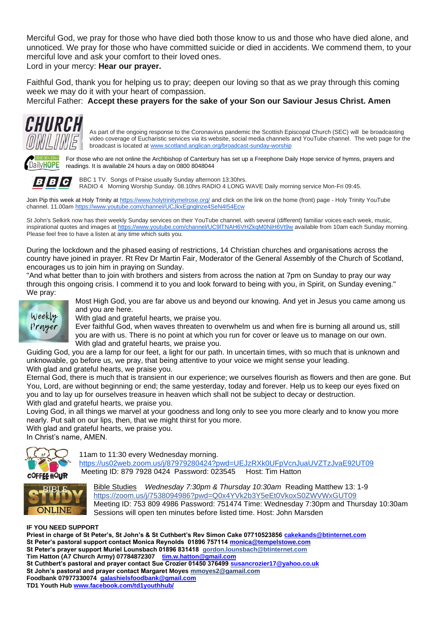Merciful God, we pray for those who have died both those know to us and those who have died alone, and unnoticed. We pray for those who have committed suicide or died in accidents. We commend them, to your merciful love and ask your comfort to their loved ones.

Lord in your mercy: **Hear our prayer.**

Faithful God, thank you for helping us to pray; deepen our loving so that as we pray through this coming week we may do it with your heart of compassion.

### Merciful Father: **Accept these prayers for the sake of your Son our Saviour Jesus Christ. Amen**



As part of the ongoing response to the Coronavirus pandemic the Scottish Episcopal Church (SEC) will be broadcasting video coverage of Eucharistic services via its website, social media channels and YouTube channel. The web page for the broadcast is located at [www.scotland.anglican.org/broadcast-sunday-worship](http://www.scotland.anglican.org/broadcast-sunday-worship)



For those who are not online the Archbishop of Canterbury has set up a Freephone Daily Hope service of hymns, prayers and readings. It is available 24 hours a day on 0800 8048044



BBC 1 TV. Songs of Praise usually Sunday afternoon 13:30hrs. RADIO 4 Morning Worship Sunday. 08.10hrs RADIO 4 LONG WAVE Daily morning service Mon-Fri 09:45.

Join Pip this week at Holy Trinity at<https://www.holytrinitymelrose.org/> and click on the link on the home (front) page - Holy Trinity YouTube channel. 11.00am<https://www.youtube.com/channel/UCJkxEgnglnze4SeN4I54Ecw>

St John's Selkirk now has their weekly Sunday services on their YouTube channel, with several (different) familiar voices each week, music, inspirational quotes and images at https://www.youtube.com/channel/UC9ITNAH6VHZkqM0NiH6Vt9w available from 10am each Sunday morning. Please feel free to have a listen at any time which suits you.

During the lockdown and the phased easing of restrictions, 14 Christian churches and organisations across the country have joined in prayer. Rt Rev Dr Martin Fair, Moderator of the General Assembly of the Church of Scotland, encourages us to join him in praying on Sunday.

"And what better than to join with brothers and sisters from across the nation at 7pm on Sunday to pray our way through this ongoing crisis. I commend it to you and look forward to being with you, in Spirit, on Sunday evening." We pray:



Most High God, you are far above us and beyond our knowing. And yet in Jesus you came among us and you are here.

With glad and grateful hearts, we praise you.

Ever faithful God, when waves threaten to overwhelm us and when fire is burning all around us, still you are with us. There is no point at which you run for cover or leave us to manage on our own. With glad and grateful hearts, we praise you.

Guiding God, you are a lamp for our feet, a light for our path. In uncertain times, with so much that is unknown and unknowable, go before us, we pray, that being attentive to your voice we might sense your leading. With glad and grateful hearts, we praise you.

Eternal God, there is much that is transient in our experience; we ourselves flourish as flowers and then are gone. But You, Lord, are without beginning or end; the same yesterday, today and forever. Help us to keep our eyes fixed on you and to lay up for ourselves treasure in heaven which shall not be subject to decay or destruction. With glad and grateful hearts, we praise you.

Loving God, in all things we marvel at your goodness and long only to see you more clearly and to know you more nearly. Put salt on our lips, then, that we might thirst for you more.

With glad and grateful hearts, we praise you. In Christ's name, AMEN.



11am to 11:30 every Wednesday morning. <https://us02web.zoom.us/j/87979280424?pwd=UEJzRXk0UFpVcnJuaUVZTzJvaE92UT09> Meeting ID: 879 7928 0424 Password: 023545 Host: Tim Hatton



[Bible Studies](https://zoom.us/j/7538094986?pwd=Q0x4YVk2b3Y5eEt0VkoxS0ZWVWxGUT09) *Wednesday 7:30pm & Thursday 10:30am* Reading Matthew 13: 1-9 <https://zoom.us/j/7538094986?pwd=Q0x4YVk2b3Y5eEt0VkoxS0ZWVWxGUT09> Meeting ID: 753 809 4986 Password: 751474 Time: Wednesday 7:30pm and Thursday 10:30am Sessions will open ten minutes before listed time. Host: John Marsden

#### **IF YOU NEED SUPPORT**

**Priest in charge of St Peter's, St John's & St Cuthbert's Rev Simon Cake 0771052385[6 cakekands@btinternet.com](mailto:cakekands@btinternet.com) St Peter's pastoral support contact Monica Reynolds 01896 757114 [monica@tempelstowe.com](mailto:monica@tempelstowe.com) St Peter's prayer support Muriel Lounsbach 01896 831418 gordon.lounsbach@btinternet.com Tim Hatton (A7 Church Army) 07784872307 [tim.w.hatton@gmail.com](mailto:tim.w.hutton@gmail.com) St Cuthbert's pastoral and prayer contact Sue Crozier 01450 376499 [susancrozier17@yahoo.co.uk](mailto:susancrozier17@yahoo.co.uk) St John's pastoral and prayer contact Margaret Moyes mmoyes2@gamail.com Foodbank 07977330074 [galashielsfoodbank@gmail.com](mailto:galashielsfoodbank@gmail.com)  TD1 Youth Hu[b www.facebook.com/td1youthhub/](http://www.facebook.com/td1youthhub/)**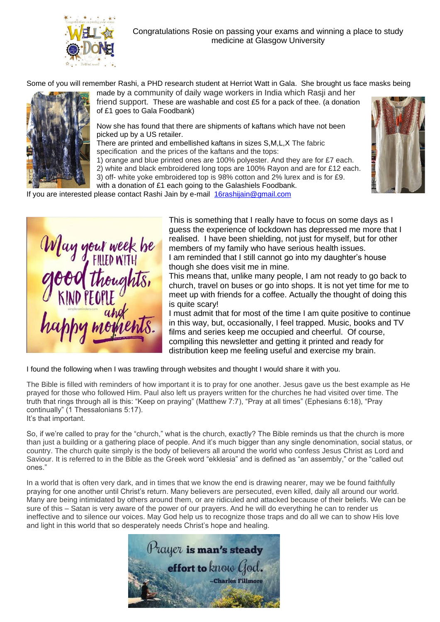

Some of you will remember Rashi, a PHD research student at Herriot Watt in Gala. She brought us face masks being

made by a community of daily wage workers in India which Rasji and her friend support. These are washable and cost £5 for a pack of thee. (a donation of £1 goes to Gala Foodbank)

Now she has found that there are shipments of kaftans which have not been picked up by a US retailer.

There are printed and embellished kaftans in sizes S,M,L,X The fabric specification and the prices of the kaftans and the tops:

1) orange and blue printed ones are 100% polyester. And they are for £7 each. 2) white and black embroidered long tops are 100% Rayon and are for £12 each. 3) off- white yoke embroidered top is 98% cotton and 2% lurex and is for £9.



with a donation of £1 each going to the Galashiels Foodbank. If you are interested please contact Rashi Jain by e-mail [16rashijain@gmail.com](mailto:16rashijain@gmail.com)

Way your week be

This is something that I really have to focus on some days as I guess the experience of lockdown has depressed me more that I realised. I have been shielding, not just for myself, but for other members of my family who have serious health issues. I am reminded that I still cannot go into my daughter's house though she does visit me in mine.

This means that, unlike many people, I am not ready to go back to church, travel on buses or go into shops. It is not yet time for me to meet up with friends for a coffee. Actually the thought of doing this is quite scary!

I must admit that for most of the time I am quite positive to continue in this way, but, occasionally, I feel trapped. Music, books and TV films and series keep me occupied and cheerful. Of course, compiling this newsletter and getting it printed and ready for distribution keep me feeling useful and exercise my brain.

I found the following when I was trawling through websites and thought I would share it with you.

The Bible is filled with reminders of how important it is to pray for one another. Jesus gave us the best example as He prayed for those who followed Him. Paul also left us prayers written for the churches he had visited over time. The truth that rings through all is this: "Keep on praying" (Matthew 7:7), "Pray at all times" (Ephesians 6:18), "Pray continually" (1 Thessalonians 5:17). It's that important.

So, if we're called to pray for the "church," what is the church, exactly? The Bible reminds us that the church is more than just a building or a gathering place of people. And it's much bigger than any single denomination, social status, or country. The church quite simply is the body of believers all around the world who confess Jesus Christ as Lord and Saviour. It is referred to in the Bible as the Greek word "ekklesia" and is defined as "an assembly," or the "called out ones."

In a world that is often very dark, and in times that we know the end is drawing nearer, may we be found faithfully praying for one another until Christ's return. Many believers are persecuted, even killed, daily all around our world. Many are being intimidated by others around them, or are ridiculed and attacked because of their beliefs. We can be sure of this – Satan is very aware of the power of our prayers. And he will do everything he can to render us ineffective and to silence our voices. May God help us to recognize those traps and do all we can to show His love and light in this world that so desperately needs Christ's hope and healing.